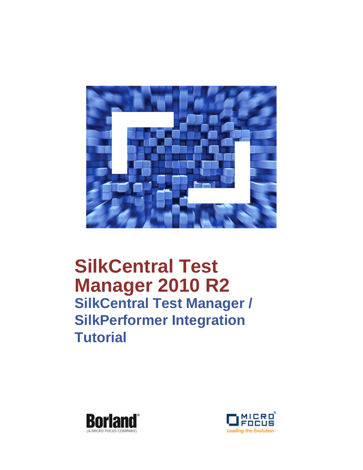

# **SilkCentral Test Manager 2010 R2 SilkCentral Test Manager / SilkPerformer Integration Tutorial**



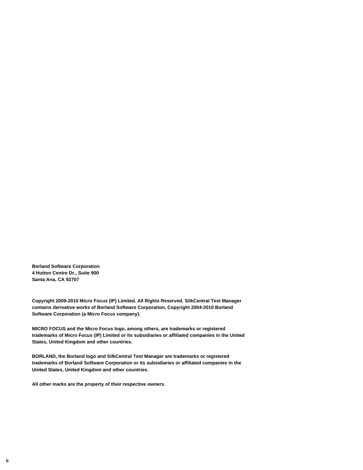**Borland Software Corporation 4 Hutton Centre Dr., Suite 900 Santa Ana, CA 92707** 

**Copyright 2009-2010 Micro Focus (IP) Limited. All Rights Reserved. SilkCentral Test Manager contains derivative works of Borland Software Corporation, Copyright 2004-2010 Borland Software Corporation (a Micro Focus company).**

**MICRO FOCUS and the Micro Focus logo, among others, are trademarks or registered trademarks of Micro Focus (IP) Limited or its subsidiaries or affiliated companies in the United States, United Kingdom and other countries.**

**BORLAND, the Borland logo and SilkCentral Test Manager are trademarks or registered trademarks of Borland Software Corporation or its subsidiaries or affiliated companies in the United States, United Kingdom and other countries.**

**All other marks are the property of their respective owners.**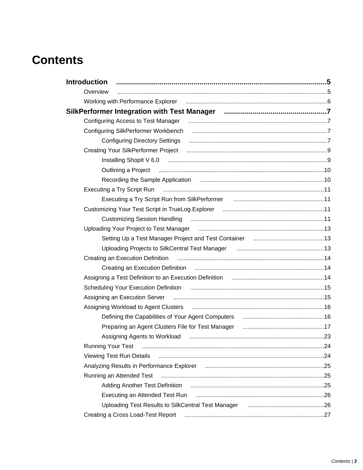# **Contents**

| <b>Introduction</b>                               |                                                                                                                                                                                                                                |  |
|---------------------------------------------------|--------------------------------------------------------------------------------------------------------------------------------------------------------------------------------------------------------------------------------|--|
| Overview                                          |                                                                                                                                                                                                                                |  |
|                                                   |                                                                                                                                                                                                                                |  |
|                                                   |                                                                                                                                                                                                                                |  |
|                                                   | Configuring Access to Test Manager (and according to the according of the Access to Test Manager (and according to the Access to Test Manager (and access to Test Manager (and access to Test Manager (and access to Test Mana |  |
|                                                   |                                                                                                                                                                                                                                |  |
|                                                   |                                                                                                                                                                                                                                |  |
|                                                   |                                                                                                                                                                                                                                |  |
|                                                   |                                                                                                                                                                                                                                |  |
|                                                   | Outlining a Project manufactured and the Contract of Tennis and Tennis and Tennis and Tennis and Tennis and Te                                                                                                                 |  |
|                                                   |                                                                                                                                                                                                                                |  |
|                                                   |                                                                                                                                                                                                                                |  |
|                                                   | Executing a Try Script Run from SilkPerformer [11] [12] [12] Executing a Try Script Run from SilkPerformer [12]                                                                                                                |  |
|                                                   |                                                                                                                                                                                                                                |  |
|                                                   | Customizing Session Handling (Mathematical Customical Customizing Mathematic 11                                                                                                                                                |  |
|                                                   |                                                                                                                                                                                                                                |  |
|                                                   | Setting Up a Test Manager Project and Test Container [11, 11, 11] Setting Up a Test Manager Project and Test Container                                                                                                         |  |
|                                                   | Uploading Projects to SilkCentral Test Manager <b>manual constructs</b> and the Uploading Projects to SilkCentral Test                                                                                                         |  |
|                                                   |                                                                                                                                                                                                                                |  |
|                                                   |                                                                                                                                                                                                                                |  |
|                                                   | Assigning a Test Definition to an Execution Definition manuminal containmand that the Assigning a Test Definition to an Execution Definition manuminal and the Assigning and the Assigning of Assigning and Assigning and Assi |  |
|                                                   | Scheduling Your Execution Definition [19] Content Contract Scheduling Your Execution Definition [19] Content Co                                                                                                                |  |
|                                                   | Assigning an Execution Server manufactured and the series of the Assigning an Execution Server manufactured an                                                                                                                 |  |
|                                                   | Assigning Workload to Agent Clusters (2000) Manuscrittism and the Assigning Workload to Agent Clusters (2000)                                                                                                                  |  |
|                                                   | Defining the Capabilities of Your Agent Computers <b>contract to the Capabilities</b> of Your Agent Computers <b>Contract Agent</b>                                                                                            |  |
| Preparing an Agent Clusters File for Test Manager |                                                                                                                                                                                                                                |  |
|                                                   | Assigning Agents to Workload (and according the material control and the Assigning Agents to Workload                                                                                                                          |  |
| <b>Running Your Test</b>                          |                                                                                                                                                                                                                                |  |
| <b>Viewing Test Run Details</b>                   |                                                                                                                                                                                                                                |  |
|                                                   |                                                                                                                                                                                                                                |  |
| Running an Attended Test                          |                                                                                                                                                                                                                                |  |
|                                                   |                                                                                                                                                                                                                                |  |
|                                                   |                                                                                                                                                                                                                                |  |
|                                                   | Uploading Test Results to SilkCentral Test Manager [1, 1, 1, 1, 1, 1, 1, 1, 1, 26                                                                                                                                              |  |
|                                                   | Creating a Cross Load-Test Report manufactured and resources and resources and resources and resources and res                                                                                                                 |  |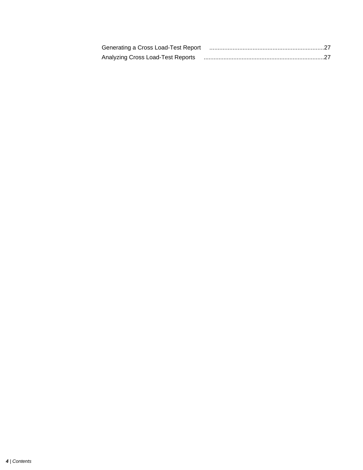| Generating a Cross Load-Test Report manufactured and resume and annuming a Cross Load-Test Report manufactured |
|----------------------------------------------------------------------------------------------------------------|
| Analyzing Cross Load-Test Reports (and all announces) Analyzing Cross Load-Test Reports                        |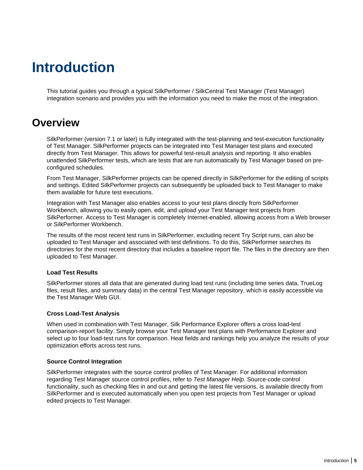# <span id="page-4-0"></span>**Introduction**

This tutorial guides you through a typical SilkPerformer / SilkCentral Test Manager (Test Manager) integration scenario and provides you with the information you need to make the most of the integration.

### **Overview**

SilkPerformer (version 7.1 or later) is fully integrated with the test-planning and test-execution functionality of Test Manager. SilkPerformer projects can be integrated into Test Manager test plans and executed directly from Test Manager. This allows for powerful test-result analysis and reporting. It also enables unattended SilkPerformer tests, which are tests that are run automatically by Test Manager based on preconfigured schedules.

From Test Manager, SilkPerformer projects can be opened directly in SilkPerformer for the editing of scripts and settings. Edited SilkPerformer projects can subsequently be uploaded back to Test Manager to make them available for future test executions.

Integration with Test Manager also enables access to your test plans directly from SilkPerformer Workbench, allowing you to easily open, edit, and upload your Test Manager test projects from SilkPerformer. Access to Test Manager is completely Internet-enabled, allowing access from a Web browser or SilkPerformer Workbench.

The results of the most recent test runs in SilkPerformer, excluding recent Try Script runs, can also be uploaded to Test Manager and associated with test definitions. To do this, SilkPerformer searches its directories for the most recent directory that includes a baseline report file. The files in the directory are then uploaded to Test Manager.

#### **Load Test Results**

SilkPerformer stores all data that are generated during load test runs (including time series data, TrueLog files, result files, and summary data) in the central Test Manager repository, which is easily accessible via the Test Manager Web GUI.

#### **Cross Load-Test Analysis**

When used in combination with Test Manager, Silk Performance Explorer offers a cross load-test comparison-report facility. Simply browse your Test Manager test plans with Performance Explorer and select up to four load-test runs for comparison. Heat fields and rankings help you analyze the results of your optimization efforts across test runs.

#### **Source Control Integration**

SilkPerformer integrates with the source control profiles of Test Manager. For additional information regarding Test Manager source control profiles, refer to Test Manager Help. Source-code control functionality, such as checking files in and out and getting the latest file versions, is available directly from SilkPerformer and is executed automatically when you open test projects from Test Manager or upload edited projects to Test Manager.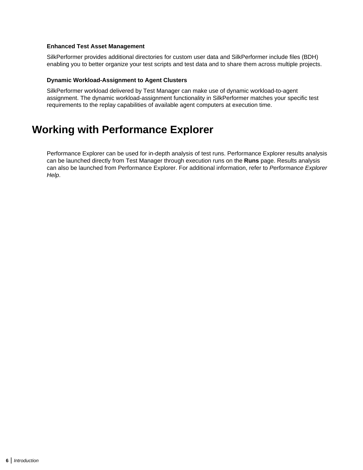#### <span id="page-5-0"></span>**Enhanced Test Asset Management**

SilkPerformer provides additional directories for custom user data and SilkPerformer include files (BDH) enabling you to better organize your test scripts and test data and to share them across multiple projects.

#### **Dynamic Workload-Assignment to Agent Clusters**

SilkPerformer workload delivered by Test Manager can make use of dynamic workload-to-agent assignment. The dynamic workload-assignment functionality in SilkPerformer matches your specific test requirements to the replay capabilities of available agent computers at execution time.

### **Working with Performance Explorer**

Performance Explorer can be used for in-depth analysis of test runs. Performance Explorer results analysis can be launched directly from Test Manager through execution runs on the **Runs** page. Results analysis can also be launched from Performance Explorer. For additional information, refer to Performance Explorer Help.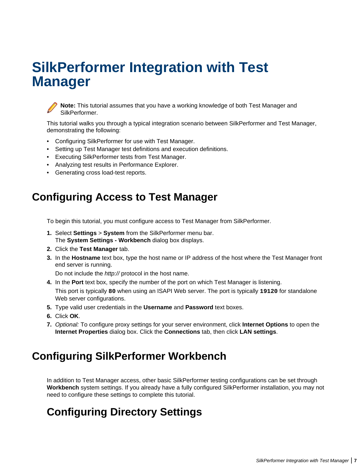# <span id="page-6-0"></span>**SilkPerformer Integration with Test Manager**



**Note:** This tutorial assumes that you have a working knowledge of both Test Manager and SilkPerformer.

This tutorial walks you through a typical integration scenario between SilkPerformer and Test Manager, demonstrating the following:

- Configuring SilkPerformer for use with Test Manager.
- Setting up Test Manager test definitions and execution definitions.
- Executing SilkPerformer tests from Test Manager.
- Analyzing test results in Performance Explorer.
- Generating cross load-test reports.

### **Configuring Access to Test Manager**

To begin this tutorial, you must configure access to Test Manager from SilkPerformer.

- **1.** Select **Settings** > **System** from the SilkPerformer menu bar. The **System Settings - Workbench** dialog box displays.
- **2.** Click the **Test Manager** tab.
- **3.** In the **Hostname** text box, type the host name or IP address of the host where the Test Manager front end server is running.

Do not include the http:// protocol in the host name.

- **4.** In the **Port** text box, specify the number of the port on which Test Manager is listening. This port is typically **80** when using an ISAPI Web server. The port is typically **19120** for standalone Web server configurations.
- **5.** Type valid user credentials in the **Username** and **Password** text boxes.
- **6.** Click **OK**.
- **7.** Optional: To configure proxy settings for your server environment, click **Internet Options** to open the **Internet Properties** dialog box. Click the **Connections** tab, then click **LAN settings**.

### **Configuring SilkPerformer Workbench**

In addition to Test Manager access, other basic SilkPerformer testing configurations can be set through **Workbench** system settings. If you already have a fully configured SilkPerformer installation, you may not need to configure these settings to complete this tutorial.

### **Configuring Directory Settings**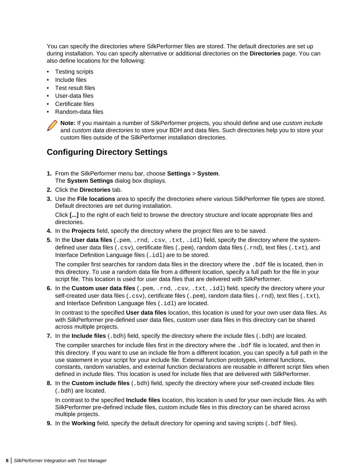<span id="page-7-0"></span>You can specify the directories where SilkPerformer files are stored. The default directories are set up during installation. You can specify alternative or additional directories on the **Directories** page. You can also define locations for the following:

- Testing scripts
- Include files
- Test result files
- User-data files
- Certificate files
- Random-data files

**Note:** If you maintain a number of SilkPerformer projects, you should define and use custom include and custom data directories to store your BDH and data files. Such directories help you to store your custom files outside of the SilkPerformer installation directories.

### **Configuring Directory Settings**

- **1.** From the SilkPerformer menu bar, choose **Settings** > **System**. The **System Settings** dialog box displays.
- **2.** Click the **Directories** tab.
- **3.** Use the **File locations** area to specify the directories where various SilkPerformer file types are stored. Default directories are set during installation.

Click **[...]** to the right of each field to browse the directory structure and locate appropriate files and directories.

- **4.** In the **Projects** field, specify the directory where the project files are to be saved.
- **5.** In the **User data files** (.pem, .rnd, .csv, .txt, .idl) field, specify the directory where the systemdefined user data files (.csv), certificate files (.pem), random data files (.rnd), text files (.txt), and Interface Definition Language files (. idl) are to be stored.

The compiler first searches for random data files in the directory where the . bdf file is located, then in this directory. To use a random data file from a different location, specify a full path for the file in your script file. This location is used for user data files that are delivered with SilkPerformer.

**6.** In the **Custom user data files** (.pem, .rnd, .csv, .txt, .idl) field, specify the directory where your self-created user data files (.csv), certificate files (.pem), random data files (.rnd), text files (.txt), and Interface Definition Language files (. idl) are located.

In contrast to the specified **User data files** location, this location is used for your own user data files. As with SilkPerformer pre-defined user data files, custom user data files in this directory can be shared across multiple projects.

#### **7.** In the **Include files** (.bdh) field, specify the directory where the include files (.bdh) are located.

The compiler searches for include files first in the directory where the .bdf file is located, and then in this directory. If you want to use an include file from a different location, you can specify a full path in the use statement in your script for your include file. External function prototypes, internal functions, constants, random variables, and external function declarations are reusable in different script files when defined in include files. This location is used for include files that are delivered with SilkPerformer.

**8.** In the **Custom include files** (.bdh) field, specify the directory where your self-created include files (.bdh) are located.

In contrast to the specified **Include files** location, this location is used for your own include files. As with SilkPerformer pre-defined include files, custom include files in this directory can be shared across multiple projects.

**9.** In the **Working** field, specify the default directory for opening and saving scripts (.bdf files).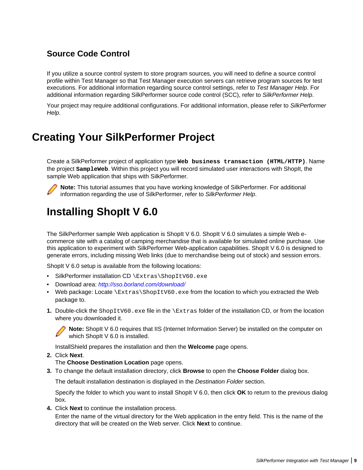### <span id="page-8-0"></span>**Source Code Control**

If you utilize a source control system to store program sources, you will need to define a source control profile within Test Manager so that Test Manager execution servers can retrieve program sources for test executions. For additional information regarding source control settings, refer to Test Manager Help. For additional information regarding SilkPerformer source code control (SCC), refer to SilkPerformer Help.

Your project may require additional configurations. For additional information, please refer to SilkPerformer Help.

## **Creating Your SilkPerformer Project**

Create a SilkPerformer project of application type **Web business transaction (HTML/HTTP)**. Name the project **SampleWeb**. Within this project you will record simulated user interactions with ShopIt, the sample Web application that ships with SilkPerformer.



**Note:** This tutorial assumes that you have working knowledge of SilkPerformer. For additional information regarding the use of SilkPerformer, refer to SilkPerformer Help.

## **Installing ShopIt V 6.0**

The SilkPerformer sample Web application is ShopIt V 6.0. ShopIt V 6.0 simulates a simple Web ecommerce site with a catalog of camping merchandise that is available for simulated online purchase. Use this application to experiment with SilkPerformer Web-application capabilities. ShopIt V 6.0 is designed to generate errors, including missing Web links (due to merchandise being out of stock) and session errors.

ShopIt V 6.0 setup is available from the following locations:

- SilkPerformer installation CD \Extras\ShopItV60.exe
- Download area: <http://sso.borland.com/download/>
- Web package: Locate  $\Extras\ShopItV60$ . exe from the location to which you extracted the Web package to.
- **1.** Double-click the ShopItV60.exe file in the \Extras folder of the installation CD, or from the location where you downloaded it.



**Note:** ShopIt V 6.0 requires that IIS (Internet Information Server) be installed on the computer on which ShopIt V 6.0 is installed.

InstallShield prepares the installation and then the **Welcome** page opens.

**2.** Click **Next**.

The **Choose Destination Location** page opens.

**3.** To change the default installation directory, click **Browse** to open the **Choose Folder** dialog box.

The default installation destination is displayed in the Destination Folder section.

Specify the folder to which you want to install ShopIt V 6.0, then click **OK** to return to the previous dialog box.

**4.** Click **Next** to continue the installation process.

Enter the name of the virtual directory for the Web application in the entry field. This is the name of the directory that will be created on the Web server. Click **Next** to continue.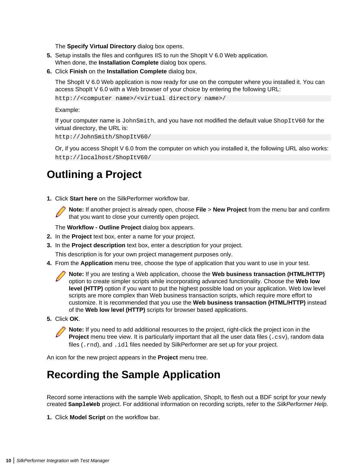The **Specify Virtual Directory** dialog box opens.

- <span id="page-9-0"></span>**5.** Setup installs the files and configures IIS to run the ShopIt V 6.0 Web application. When done, the **Installation Complete** dialog box opens.
- **6.** Click **Finish** on the **Installation Complete** dialog box.

The ShopIt V 6.0 Web application is now ready for use on the computer where you installed it. You can access ShopIt V 6.0 with a Web browser of your choice by entering the following URL:

http://<computer name>/<virtual directory name>/

Example:

If your computer name is JohnSmith, and you have not modified the default value ShopItV60 for the virtual directory, the URL is:

http://JohnSmith/ShopItV60/

Or, if you access ShopIt V 6.0 from the computer on which you installed it, the following URL also works: http://localhost/ShopItV60/

### **Outlining a Project**

**1.** Click **Start here** on the SilkPerformer workflow bar.



**Note:** If another project is already open, choose **File** > **New Project** from the menu bar and confirm that you want to close your currently open project.

The **Workflow - Outline Project** dialog box appears.

- **2.** In the **Project** text box, enter a name for your project.
- **3.** In the **Project description** text box, enter a description for your project.

This description is for your own project management purposes only.

**4.** From the **Application** menu tree, choose the type of application that you want to use in your test.

**Note:** If you are testing a Web application, choose the **Web business transaction (HTML/HTTP)** option to create simpler scripts while incorporating advanced functionality. Choose the **Web low level (HTTP)** option if you want to put the highest possible load on your application. Web low level scripts are more complex than Web business transaction scripts, which require more effort to customize. It is recommended that you use the **Web business transaction (HTML/HTTP)** instead of the **Web low level (HTTP)** scripts for browser based applications.

**5.** Click **OK**.

**Note:** If you need to add additional resources to the project, right-click the project icon in the **Project** menu tree view. It is particularly important that all the user data files (.csv), random data files (.rnd), and .idl files needed by SilkPerformer are set up for your project.

An icon for the new project appears in the **Project** menu tree.

### **Recording the Sample Application**

Record some interactions with the sample Web application, ShopIt, to flesh out a BDF script for your newly created **SampleWeb** project. For additional information on recording scripts, refer to the SilkPerformer Help.

**1.** Click **Model Script** on the workflow bar.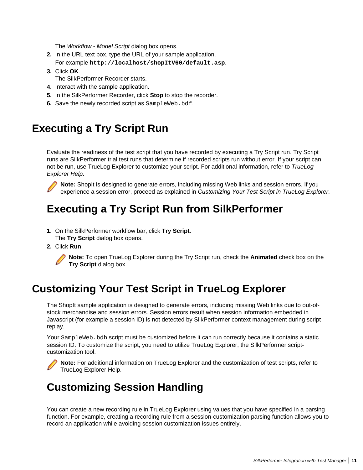The Workflow - Model Script dialog box opens.

- <span id="page-10-0"></span>**2.** In the URL text box, type the URL of your sample application. For example **http://localhost/shopItV60/default.asp**.
- **3.** Click **OK**.
	- The SilkPerformer Recorder starts.
- **4.** Interact with the sample application.
- **5.** In the SilkPerformer Recorder, click **Stop** to stop the recorder.
- **6.** Save the newly recorded script as SampleWeb.bdf.

### **Executing a Try Script Run**

Evaluate the readiness of the test script that you have recorded by executing a Try Script run. Try Script runs are SilkPerformer trial test runs that determine if recorded scripts run without error. If your script can not be run, use TrueLog Explorer to customize your script. For additional information, refer to TrueLog Explorer Help.



**Note:** ShopIt is designed to generate errors, including missing Web links and session errors. If you experience a session error, proceed as explained in Customizing Your Test Script in TrueLog Explorer.

### **Executing a Try Script Run from SilkPerformer**

- **1.** On the SilkPerformer workflow bar, click **Try Script**. The **Try Script** dialog box opens.
- **2.** Click **Run**.



**Note:** To open TrueLog Explorer during the Try Script run, check the **Animated** check box on the **Try Script** dialog box.

## **Customizing Your Test Script in TrueLog Explorer**

The ShopIt sample application is designed to generate errors, including missing Web links due to out-ofstock merchandise and session errors. Session errors result when session information embedded in Javascript (for example a session ID) is not detected by SilkPerformer context management during script replay.

Your SampleWeb. bdh script must be customized before it can run correctly because it contains a static session ID. To customize the script, you need to utilize TrueLog Explorer, the SilkPerformer scriptcustomization tool.

**Note:** For additional information on TrueLog Explorer and the customization of test scripts, refer to TrueLog Explorer Help.

## **Customizing Session Handling**

You can create a new recording rule in TrueLog Explorer using values that you have specified in a parsing function. For example, creating a recording rule from a session-customization parsing function allows you to record an application while avoiding session customization issues entirely.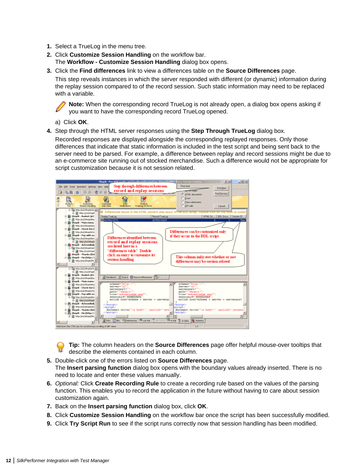- **1.** Select a TrueLog in the menu tree.
- **2.** Click **Customize Session Handling** on the workflow bar. The **Workflow - Customize Session Handling** dialog box opens.
- **3.** Click the **Find differences** link to view a differences table on the **Source Differences** page.

This step reveals instances in which the server responded with different (or dynamic) information during the replay session compared to of the record session. Such static information may need to be replaced with a variable.

**Note:** When the corresponding record TrueLog is not already open, a dialog box opens asking if you want to have the corresponding record TrueLog opened.

a) Click **OK**.

**4.** Step through the HTML server responses using the **Step Through TrueLog** dialog box.

Recorded responses are displayed alongside the corresponding replayed responses. Only those differences that indicate that static information is included in the test script and being sent back to the server need to be parsed. For example, a difference between replay and record sessions might be due to an e-commerce site running out of stocked merchandise. Such a difference would not be appropriate for script customization because it is not session related.



**Tip:** The column headers on the **Source Differences** page offer helpful mouse-over tooltips that describe the elements contained in each column.

- **5.** Double-click one of the errors listed on **Source Differences** page. The **Insert parsing function** dialog box opens with the boundary values already inserted. There is no need to locate and enter these values manually.
- **6.** Optional: Click **Create Recording Rule** to create a recording rule based on the values of the parsing function. This enables you to record the application in the future without having to care about session customization again.
- **7.** Back on the **Insert parsing function** dialog box, click **OK**.
- **8.** Click **Customize Session Handling** on the workflow bar once the script has been successfully modified.
- **9.** Click **Try Script Run** to see if the script runs correctly now that session handling has been modified.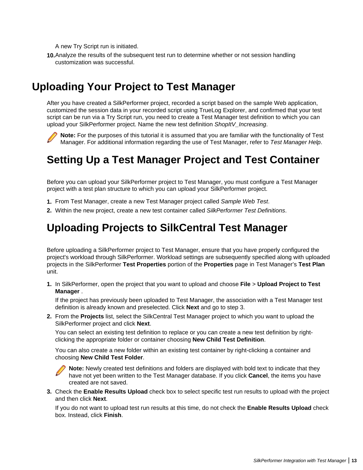<span id="page-12-0"></span>A new Try Script run is initiated.

**10.**Analyze the results of the subsequent test run to determine whether or not session handling customization was successful.

### **Uploading Your Project to Test Manager**

After you have created a SilkPerformer project, recorded a script based on the sample Web application, customized the session data in your recorded script using TrueLog Explorer, and confirmed that your test script can be run via a Try Script run, you need to create a Test Manager test definition to which you can upload your SilkPerformer project. Name the new test definition ShopItV Increasing.

**Note:** For the purposes of this tutorial it is assumed that you are familiar with the functionality of Test Manager. For additional information regarding the use of Test Manager, refer to Test Manager Help.

### **Setting Up a Test Manager Project and Test Container**

Before you can upload your SilkPerformer project to Test Manager, you must configure a Test Manager project with a test plan structure to which you can upload your SilkPerformer project.

- **1.** From Test Manager, create a new Test Manager project called Sample Web Test.
- **2.** Within the new project, create a new test container called SilkPerformer Test Definitions.

### **Uploading Projects to SilkCentral Test Manager**

Before uploading a SilkPerformer project to Test Manager, ensure that you have properly configured the project's workload through SilkPerformer. Workload settings are subsequently specified along with uploaded projects in the SilkPerformer **Test Properties** portion of the **Properties** page in Test Manager's **Test Plan** unit.

**1.** In SilkPerformer, open the project that you want to upload and choose **File** > **Upload Project to Test Manager** .

If the project has previously been uploaded to Test Manager, the association with a Test Manager test definition is already known and preselected. Click **Next** and go to step 3.

**2.** From the **Projects** list, select the SilkCentral Test Manager project to which you want to upload the SilkPerformer project and click **Next**.

You can select an existing test definition to replace or you can create a new test definition by rightclicking the appropriate folder or container choosing **New Child Test Definition**.

You can also create a new folder within an existing test container by right-clicking a container and choosing **New Child Test Folder**.

**Note:** Newly created test definitions and folders are displayed with bold text to indicate that they have not yet been written to the Test Manager database. If you click **Cancel**, the items you have created are not saved.

**3.** Check the **Enable Results Upload** check box to select specific test run results to upload with the project and then click **Next**.

If you do not want to upload test run results at this time, do not check the **Enable Results Upload** check box. Instead, click **Finish**.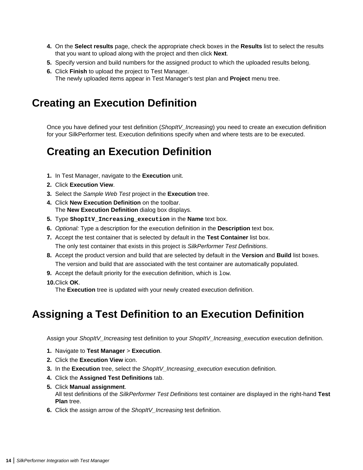- <span id="page-13-0"></span>**4.** On the **Select results** page, check the appropriate check boxes in the **Results** list to select the results that you want to upload along with the project and then click **Next**.
- **5.** Specify version and build numbers for the assigned product to which the uploaded results belong.
- **6.** Click **Finish** to upload the project to Test Manager. The newly uploaded items appear in Test Manager's test plan and **Project** menu tree.

### **Creating an Execution Definition**

Once you have defined your test definition (ShopItV\_Increasing) you need to create an execution definition for your SilkPerformer test. Execution definitions specify when and where tests are to be executed.

### **Creating an Execution Definition**

- **1.** In Test Manager, navigate to the **Execution** unit.
- **2.** Click **Execution View**.
- **3.** Select the Sample Web Test project in the **Execution** tree.
- **4.** Click **New Execution Definition** on the toolbar. The **New Execution Definition** dialog box displays.
- **5.** Type **ShopItV\_Increasing\_execution** in the **Name** text box.
- **6.** Optional: Type a description for the execution definition in the **Description** text box.
- **7.** Accept the test container that is selected by default in the **Test Container** list box. The only test container that exists in this project is SilkPerformer Test Definitions.
- **8.** Accept the product version and build that are selected by default in the **Version** and **Build** list boxes. The version and build that are associated with the test container are automatically populated.
- **9.** Accept the default priority for the execution definition, which is low.
- **10.**Click **OK**.

The **Execution** tree is updated with your newly created execution definition.

### **Assigning a Test Definition to an Execution Definition**

Assign your ShopItV\_Increasing test definition to your ShopItV\_Increasing\_execution execution definition.

- **1.** Navigate to **Test Manager** > **Execution**.
- **2.** Click the **Execution View** icon.
- **3.** In the **Execution** tree, select the ShopItV\_Increasing\_execution execution definition.
- **4.** Click the **Assigned Test Definitions** tab.
- **5.** Click **Manual assignment**.

All test definitions of the SilkPerformer Test Definitions test container are displayed in the right-hand **Test Plan** tree.

**6.** Click the assign arrow of the ShopItV Increasing test definition.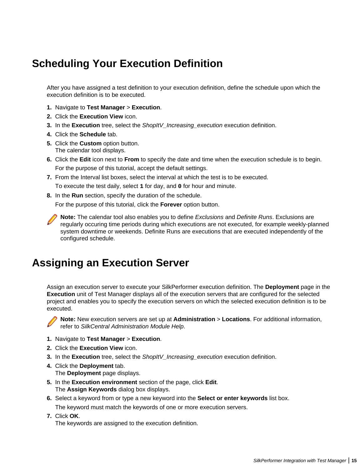## <span id="page-14-0"></span>**Scheduling Your Execution Definition**

After you have assigned a test definition to your execution definition, define the schedule upon which the execution definition is to be executed.

- **1.** Navigate to **Test Manager** > **Execution**.
- **2.** Click the **Execution View** icon.
- **3.** In the **Execution** tree, select the ShopItV\_Increasing\_execution execution definition.
- **4.** Click the **Schedule** tab.
- **5.** Click the **Custom** option button. The calendar tool displays.
- **6.** Click the **Edit** icon next to **From** to specify the date and time when the execution schedule is to begin. For the purpose of this tutorial, accept the default settings.
- **7.** From the Interval list boxes, select the interval at which the test is to be executed. To execute the test daily, select **1** for day, and **0** for hour and minute.
- **8.** In the **Run** section, specify the duration of the schedule.

For the purpose of this tutorial, click the **Forever** option button.

**Note:** The calendar tool also enables you to define Exclusions and Definite Runs. Exclusions are regularly occuring time periods during which executions are not executed, for example weekly-planned system downtime or weekends. Definite Runs are executions that are executed independently of the configured schedule.

### **Assigning an Execution Server**

Assign an execution server to execute your SilkPerformer execution definition. The **Deployment** page in the **Execution** unit of Test Manager displays all of the execution servers that are configured for the selected project and enables you to specify the execution servers on which the selected execution definition is to be executed.



**Note:** New execution servers are set up at **Administration** > **Locations**. For additional information, refer to SilkCentral Administration Module Help.

- **1.** Navigate to **Test Manager** > **Execution**.
- **2.** Click the **Execution View** icon.
- **3.** In the Execution tree, select the ShopItV\_Increasing\_execution execution definition.
- **4.** Click the **Deployment** tab. The **Deployment** page displays.
- **5.** In the **Execution environment** section of the page, click **Edit**. The **Assign Keywords** dialog box displays.
- **6.** Select a keyword from or type a new keyword into the **Select or enter keywords** list box. The keyword must match the keywords of one or more execution servers.
- **7.** Click **OK**. The keywords are assigned to the execution definition.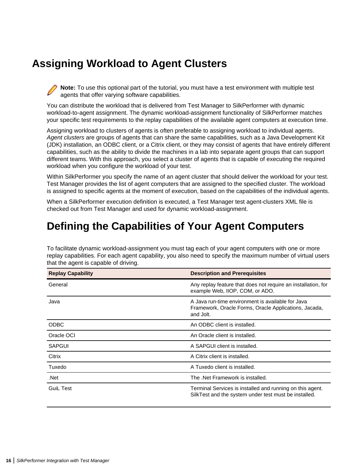## <span id="page-15-0"></span>**Assigning Workload to Agent Clusters**

**Note:** To use this optional part of the tutorial, you must have a test environment with multiple test agents that offer varying software capabilities.

You can distribute the workload that is delivered from Test Manager to SilkPerformer with dynamic workload-to-agent assignment. The dynamic workload-assignment functionality of SilkPerformer matches your specific test requirements to the replay capabilities of the available agent computers at execution time.

Assigning workload to clusters of agents is often preferable to assigning workload to individual agents. Agent clusters are groups of agents that can share the same capabilities, such as a Java Development Kit (JDK) installation, an ODBC client, or a Citrix client, or they may consist of agents that have entirely different capabilities, such as the ability to divide the machines in a lab into separate agent groups that can support different teams. With this approach, you select a cluster of agents that is capable of executing the required workload when you configure the workload of your test.

Within SilkPerformer you specify the name of an agent cluster that should deliver the workload for your test. Test Manager provides the list of agent computers that are assigned to the specified cluster. The workload is assigned to specific agents at the moment of execution, based on the capabilities of the individual agents.

When a SilkPerformer execution definition is executed, a Test Manager test agent-clusters XML file is checked out from Test Manager and used for dynamic workload-assignment.

### **Defining the Capabilities of Your Agent Computers**

To facilitate dynamic workload-assignment you must tag each of your agent computers with one or more replay capabilities. For each agent capability, you also need to specify the maximum number of virtual users that the agent is capable of driving.

| <b>Replay Capability</b> | <b>Description and Prerequisites</b>                                                                                    |  |
|--------------------------|-------------------------------------------------------------------------------------------------------------------------|--|
| General                  | Any replay feature that does not require an installation, for<br>example Web, IIOP, COM, or ADO.                        |  |
| Java                     | A Java run-time environment is available for Java<br>Framework, Oracle Forms, Oracle Applications, Jacada,<br>and Jolt. |  |
| <b>ODBC</b>              | An ODBC client is installed.                                                                                            |  |
| Oracle OCI               | An Oracle client is installed.                                                                                          |  |
| SAPGUI                   | A SAPGUI client is installed.                                                                                           |  |
| Citrix                   | A Citrix client is installed.                                                                                           |  |
| Tuxedo                   | A Tuxedo client is installed.                                                                                           |  |
| .Net                     | The .Net Framework is installed.                                                                                        |  |
| <b>Guil Test</b>         | Terminal Services is installed and running on this agent.<br>SilkTest and the system under test must be installed.      |  |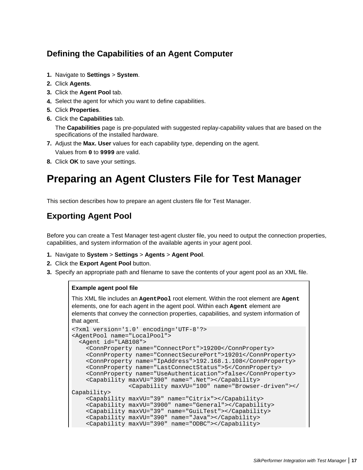### <span id="page-16-0"></span>**Defining the Capabilities of an Agent Computer**

- **1.** Navigate to **Settings** > **System**.
- **2.** Click **Agents**.
- **3.** Click the **Agent Pool** tab.
- **4.** Select the agent for which you want to define capabilities.
- **5.** Click **Properties**.
- **6.** Click the **Capabilities** tab.

The **Capabilities** page is pre-populated with suggested replay-capability values that are based on the specifications of the installed hardware.

- **7.** Adjust the **Max. User** values for each capability type, depending on the agent. Values from **0** to **9999** are valid.
- **8.** Click **OK** to save your settings.

## **Preparing an Agent Clusters File for Test Manager**

This section describes how to prepare an agent clusters file for Test Manager.

### **Exporting Agent Pool**

Before you can create a Test Manager test-agent cluster file, you need to output the connection properties, capabilities, and system information of the available agents in your agent pool.

- **1.** Navigate to **System** > **Settings** > **Agents** > **Agent Pool**.
- **2.** Click the **Export Agent Pool** button.
- **3.** Specify an appropriate path and filename to save the contents of your agent pool as an XML file.

#### **Example agent pool file**

This XML file includes an **AgentPool** root element. Within the root element are **Agent** elements, one for each agent in the agent pool. Within each **Agent** element are elements that convey the connection properties, capabilities, and system information of that agent.

```
<?xml version='1.0' encoding='UTF-8'?>
<AgentPool name="LocalPool">
   <Agent id="LAB108">
     <ConnProperty name="ConnectPort">19200</ConnProperty>
     <ConnProperty name="ConnectSecurePort">19201</ConnProperty>
     <ConnProperty name="IpAddress">192.168.1.108</ConnProperty>
     <ConnProperty name="LastConnectStatus">5</ConnProperty>
     <ConnProperty name="UseAuthentication">false</ConnProperty>
     <Capability maxVU="390" name=".Net"></Capability>
                 <Capability maxVU="100" name="Browser-driven"></
Capability>
     <Capability maxVU="39" name="Citrix"></Capability>
     <Capability maxVU="3900" name="General"></Capability>
     <Capability maxVU="39" name="GuiLTest"></Capability>
     <Capability maxVU="390" name="Java"></Capability>
     <Capability maxVU="390" name="ODBC"></Capability>
```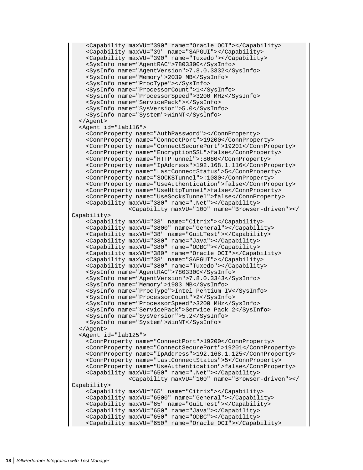```
 <Capability maxVU="390" name="Oracle OCI"></Capability>
     <Capability maxVU="39" name="SAPGUI"></Capability>
     <Capability maxVU="390" name="Tuxedo"></Capability>
     <SysInfo name="AgentRAC">7803300</SysInfo>
     <SysInfo name="AgentVersion">7.8.0.3332</SysInfo>
     <SysInfo name="Memory">2039 MB</SysInfo>
     <SysInfo name="ProcType"></SysInfo>
     <SysInfo name="ProcessorCount">1</SysInfo>
     <SysInfo name="ProcessorSpeed">3200 MHz</SysInfo>
     <SysInfo name="ServicePack"></SysInfo>
     <SysInfo name="SysVersion">5.0</SysInfo>
     <SysInfo name="System">WinNT</SysInfo>
   </Agent>
   <Agent id="lab116">
     <ConnProperty name="AuthPassword"></ConnProperty>
     <ConnProperty name="ConnectPort">19200</ConnProperty>
     <ConnProperty name="ConnectSecurePort">19201</ConnProperty>
     <ConnProperty name="EncryptionSSL">false</ConnProperty>
     <ConnProperty name="HTTPTunnel">:8080</ConnProperty>
     <ConnProperty name="IpAddress">192.168.1.116</ConnProperty>
     <ConnProperty name="LastConnectStatus">5</ConnProperty>
     <ConnProperty name="SOCKSTunnel">:1080</ConnProperty>
     <ConnProperty name="UseAuthentication">false</ConnProperty>
     <ConnProperty name="UseHttpTunnel">false</ConnProperty>
     <ConnProperty name="UseSocksTunnel">false</ConnProperty>
     <Capability maxVU="380" name=".Net"></Capability>
                 <Capability maxVU="100" name="Browser-driven"></
Capability>
     <Capability maxVU="38" name="Citrix"></Capability>
     <Capability maxVU="3800" name="General"></Capability>
     <Capability maxVU="38" name="GuiLTest"></Capability>
     <Capability maxVU="380" name="Java"></Capability>
     <Capability maxVU="380" name="ODBC"></Capability>
     <Capability maxVU="380" name="Oracle OCI"></Capability>
     <Capability maxVU="38" name="SAPGUI"></Capability>
     <Capability maxVU="380" name="Tuxedo"></Capability>
     <SysInfo name="AgentRAC">7803300</SysInfo>
     <SysInfo name="AgentVersion">7.8.0.3343</SysInfo>
     <SysInfo name="Memory">1983 MB</SysInfo>
     <SysInfo name="ProcType">Intel Pentium IV</SysInfo>
     <SysInfo name="ProcessorCount">2</SysInfo>
     <SysInfo name="ProcessorSpeed">3200 MHz</SysInfo>
     <SysInfo name="ServicePack">Service Pack 2</SysInfo>
     <SysInfo name="SysVersion">5.2</SysInfo>
     <SysInfo name="System">WinNT</SysInfo>
   </Agent>
   <Agent id="lab125">
     <ConnProperty name="ConnectPort">19200</ConnProperty>
     <ConnProperty name="ConnectSecurePort">19201</ConnProperty>
     <ConnProperty name="IpAddress">192.168.1.125</ConnProperty>
     <ConnProperty name="LastConnectStatus">5</ConnProperty>
     <ConnProperty name="UseAuthentication">false</ConnProperty>
     <Capability maxVU="650" name=".Net"></Capability>
                 <Capability maxVU="100" name="Browser-driven"></
Capability>
     <Capability maxVU="65" name="Citrix"></Capability>
     <Capability maxVU="6500" name="General"></Capability>
     <Capability maxVU="65" name="GuiLTest"></Capability>
     <Capability maxVU="650" name="Java"></Capability>
     <Capability maxVU="650" name="ODBC"></Capability>
     <Capability maxVU="650" name="Oracle OCI"></Capability>
```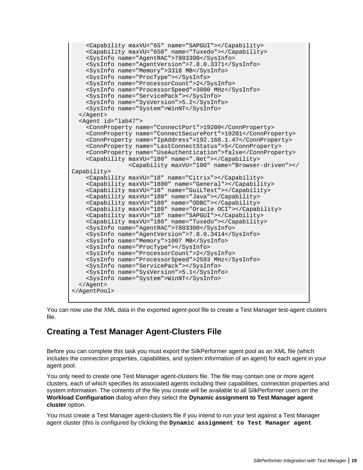```
 <Capability maxVU="65" name="SAPGUI"></Capability>
     <Capability maxVU="650" name="Tuxedo"></Capability>
     <SysInfo name="AgentRAC">7803300</SysInfo>
     <SysInfo name="AgentVersion">7.8.0.3371</SysInfo>
     <SysInfo name="Memory">3318 MB</SysInfo>
     <SysInfo name="ProcType"></SysInfo>
     <SysInfo name="ProcessorCount">2</SysInfo>
     <SysInfo name="ProcessorSpeed">3000 MHz</SysInfo>
     <SysInfo name="ServicePack"></SysInfo>
     <SysInfo name="SysVersion">5.2</SysInfo>
     <SysInfo name="System">WinNT</SysInfo>
   </Agent>
   <Agent id="lab47">
     <ConnProperty name="ConnectPort">19200</ConnProperty>
     <ConnProperty name="ConnectSecurePort">19201</ConnProperty>
     <ConnProperty name="IpAddress">192.168.1.47</ConnProperty>
     <ConnProperty name="LastConnectStatus">5</ConnProperty>
     <ConnProperty name="UseAuthentication">false</ConnProperty>
     <Capability maxVU="180" name=".Net"></Capability>
                 <Capability maxVU="100" name="Browser-driven"></
Capability>
     <Capability maxVU="18" name="Citrix"></Capability>
     <Capability maxVU="1800" name="General"></Capability>
     <Capability maxVU="18" name="GuiLTest"></Capability>
     <Capability maxVU="180" name="Java"></Capability>
     <Capability maxVU="180" name="ODBC"></Capability>
     <Capability maxVU="180" name="Oracle OCI"></Capability>
     <Capability maxVU="18" name="SAPGUI"></Capability>
     <Capability maxVU="180" name="Tuxedo"></Capability>
     <SysInfo name="AgentRAC">7803300</SysInfo>
     <SysInfo name="AgentVersion">7.8.0.3414</SysInfo>
     <SysInfo name="Memory">1007 MB</SysInfo>
     <SysInfo name="ProcType"></SysInfo>
     <SysInfo name="ProcessorCount">2</SysInfo>
     <SysInfo name="ProcessorSpeed">2593 MHz</SysInfo>
     <SysInfo name="ServicePack"></SysInfo>
     <SysInfo name="SysVersion">5.1</SysInfo>
     <SysInfo name="System">WinNT</SysInfo>
   </Agent>
</AgentPool>
```
You can now use the XML data in the exported agent-pool file to create a Test Manager test-agent clusters file.

### **Creating a Test Manager Agent-Clusters File**

Before you can complete this task you must export the SilkPerformer agent pool as an XML file (which includes the connection properties, capabilities, and system information of an agent) for each agent in your agent pool.

You only need to create one Test Manager agent-clusters file. The file may contain one or more agent clusters, each of which specifies its associated agents including their capabilities, connection properties and system information. The contents of the file you create will be available to all SilkPerformer users on the **Workload Configuration** dialog when they select the **Dynamic assignment to Test Manager agent cluster** option.

You must create a Test Manager agent-clusters file if you intend to run your test against a Test Manager agent cluster (this is configured by clicking the **Dynamic assignment to Test Manager agent**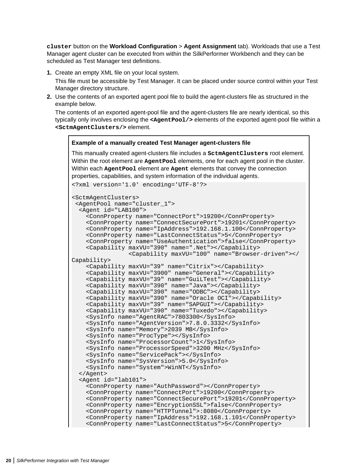**cluster** button on the **Workload Configuration** > **Agent Assignment** tab). Workloads that use a Test Manager agent cluster can be executed from within the SilkPerformer Workbench and they can be scheduled as Test Manager test definitions.

**1.** Create an empty XML file on your local system.

This file must be accessible by Test Manager. It can be placed under source control within your Test Manager directory structure.

**2.** Use the contents of an exported agent pool file to build the agent-clusters file as structured in the example below.

The contents of an exported agent-pool file and the agent-clusters file are nearly identical, so this typically only involves enclosing the <AgentPool/> elements of the exported agent-pool file within a **<SctmAgentClusters/>** element.

#### **Example of a manually created Test Manager agent-clusters file**

This manually created agent-clusters file includes a **SctmAgentClusters** root element. Within the root element are **AgentPool** elements, one for each agent pool in the cluster. Within each **AgentPool** element are **Agent** elements that convey the connection properties, capabilities, and system information of the individual agents.

```
<?xml version='1.0' encoding='UTF-8'?>
<SctmAgentClusters>
  <AgentPool name="cluster_1">
   <Agent id="LAB100">
     <ConnProperty name="ConnectPort">19200</ConnProperty>
     <ConnProperty name="ConnectSecurePort">19201</ConnProperty>
     <ConnProperty name="IpAddress">192.168.1.100</ConnProperty>
     <ConnProperty name="LastConnectStatus">5</ConnProperty>
     <ConnProperty name="UseAuthentication">false</ConnProperty>
     <Capability maxVU="390" name=".Net"></Capability>
                 <Capability maxVU="100" name="Browser-driven"></
Capability>
     <Capability maxVU="39" name="Citrix"></Capability>
     <Capability maxVU="3900" name="General"></Capability>
     <Capability maxVU="39" name="GuiLTest"></Capability>
     <Capability maxVU="390" name="Java"></Capability>
     <Capability maxVU="390" name="ODBC"></Capability>
     <Capability maxVU="390" name="Oracle OCI"></Capability>
     <Capability maxVU="39" name="SAPGUI"></Capability>
     <Capability maxVU="390" name="Tuxedo"></Capability>
     <SysInfo name="AgentRAC">7803300</SysInfo>
     <SysInfo name="AgentVersion">7.8.0.3332</SysInfo>
     <SysInfo name="Memory">2039 MB</SysInfo>
     <SysInfo name="ProcType"></SysInfo>
     <SysInfo name="ProcessorCount">1</SysInfo>
     <SysInfo name="ProcessorSpeed">3200 MHz</SysInfo>
     <SysInfo name="ServicePack"></SysInfo>
     <SysInfo name="SysVersion">5.0</SysInfo>
     <SysInfo name="System">WinNT</SysInfo>
   </Agent>
   <Agent id="lab101">
     <ConnProperty name="AuthPassword"></ConnProperty>
     <ConnProperty name="ConnectPort">19200</ConnProperty>
     <ConnProperty name="ConnectSecurePort">19201</ConnProperty>
     <ConnProperty name="EncryptionSSL">false</ConnProperty>
     <ConnProperty name="HTTPTunnel">:8080</ConnProperty>
     <ConnProperty name="IpAddress">192.168.1.101</ConnProperty>
     <ConnProperty name="LastConnectStatus">5</ConnProperty>
```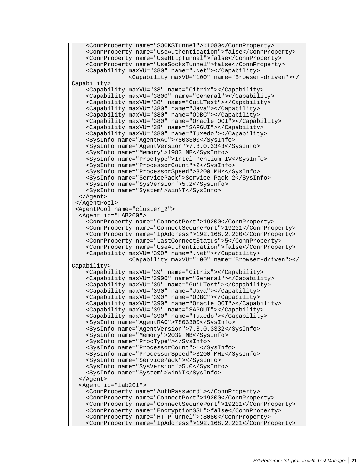```
 <ConnProperty name="SOCKSTunnel">:1080</ConnProperty>
     <ConnProperty name="UseAuthentication">false</ConnProperty>
     <ConnProperty name="UseHttpTunnel">false</ConnProperty>
     <ConnProperty name="UseSocksTunnel">false</ConnProperty>
     <Capability maxVU="380" name=".Net"></Capability>
                 <Capability maxVU="100" name="Browser-driven"></
Capability>
     <Capability maxVU="38" name="Citrix"></Capability>
     <Capability maxVU="3800" name="General"></Capability>
     <Capability maxVU="38" name="GuiLTest"></Capability>
     <Capability maxVU="380" name="Java"></Capability>
     <Capability maxVU="380" name="ODBC"></Capability>
     <Capability maxVU="380" name="Oracle OCI"></Capability>
     <Capability maxVU="38" name="SAPGUI"></Capability>
     <Capability maxVU="380" name="Tuxedo"></Capability>
     <SysInfo name="AgentRAC">7803300</SysInfo>
     <SysInfo name="AgentVersion">7.8.0.3343</SysInfo>
     <SysInfo name="Memory">1983 MB</SysInfo>
     <SysInfo name="ProcType">Intel Pentium IV</SysInfo>
     <SysInfo name="ProcessorCount">2</SysInfo>
     <SysInfo name="ProcessorSpeed">3200 MHz</SysInfo>
     <SysInfo name="ServicePack">Service Pack 2</SysInfo>
     <SysInfo name="SysVersion">5.2</SysInfo>
     <SysInfo name="System">WinNT</SysInfo>
   </Agent>
  </AgentPool>
  <AgentPool name="cluster_2">
   <Agent id="LAB200">
     <ConnProperty name="ConnectPort">19200</ConnProperty>
     <ConnProperty name="ConnectSecurePort">19201</ConnProperty>
     <ConnProperty name="IpAddress">192.168.2.200</ConnProperty>
     <ConnProperty name="LastConnectStatus">5</ConnProperty>
     <ConnProperty name="UseAuthentication">false</ConnProperty>
     <Capability maxVU="390" name=".Net"></Capability>
                 <Capability maxVU="100" name="Browser-driven"></
Capability>
     <Capability maxVU="39" name="Citrix"></Capability>
     <Capability maxVU="3900" name="General"></Capability>
     <Capability maxVU="39" name="GuiLTest"></Capability>
     <Capability maxVU="390" name="Java"></Capability>
     <Capability maxVU="390" name="ODBC"></Capability>
     <Capability maxVU="390" name="Oracle OCI"></Capability>
     <Capability maxVU="39" name="SAPGUI"></Capability>
     <Capability maxVU="390" name="Tuxedo"></Capability>
     <SysInfo name="AgentRAC">7803300</SysInfo>
     <SysInfo name="AgentVersion">7.8.0.3332</SysInfo>
     <SysInfo name="Memory">2039 MB</SysInfo>
     <SysInfo name="ProcType"></SysInfo>
     <SysInfo name="ProcessorCount">1</SysInfo>
     <SysInfo name="ProcessorSpeed">3200 MHz</SysInfo>
     <SysInfo name="ServicePack"></SysInfo>
     <SysInfo name="SysVersion">5.0</SysInfo>
     <SysInfo name="System">WinNT</SysInfo>
   </Agent>
   <Agent id="lab201">
     <ConnProperty name="AuthPassword"></ConnProperty>
     <ConnProperty name="ConnectPort">19200</ConnProperty>
     <ConnProperty name="ConnectSecurePort">19201</ConnProperty>
     <ConnProperty name="EncryptionSSL">false</ConnProperty>
     <ConnProperty name="HTTPTunnel">:8080</ConnProperty>
     <ConnProperty name="IpAddress">192.168.2.201</ConnProperty>
```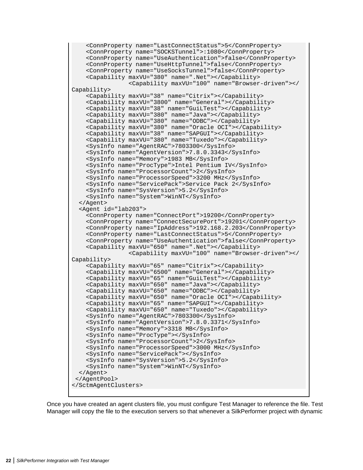```
 <ConnProperty name="LastConnectStatus">5</ConnProperty>
     <ConnProperty name="SOCKSTunnel">:1080</ConnProperty>
     <ConnProperty name="UseAuthentication">false</ConnProperty>
     <ConnProperty name="UseHttpTunnel">false</ConnProperty>
     <ConnProperty name="UseSocksTunnel">false</ConnProperty>
     <Capability maxVU="380" name=".Net"></Capability>
                 <Capability maxVU="100" name="Browser-driven"></
Capability>
     <Capability maxVU="38" name="Citrix"></Capability>
     <Capability maxVU="3800" name="General"></Capability>
     <Capability maxVU="38" name="GuiLTest"></Capability>
     <Capability maxVU="380" name="Java"></Capability>
     <Capability maxVU="380" name="ODBC"></Capability>
     <Capability maxVU="380" name="Oracle OCI"></Capability>
     <Capability maxVU="38" name="SAPGUI"></Capability>
     <Capability maxVU="380" name="Tuxedo"></Capability>
     <SysInfo name="AgentRAC">7803300</SysInfo>
     <SysInfo name="AgentVersion">7.8.0.3343</SysInfo>
     <SysInfo name="Memory">1983 MB</SysInfo>
     <SysInfo name="ProcType">Intel Pentium IV</SysInfo>
     <SysInfo name="ProcessorCount">2</SysInfo>
     <SysInfo name="ProcessorSpeed">3200 MHz</SysInfo>
     <SysInfo name="ServicePack">Service Pack 2</SysInfo>
     <SysInfo name="SysVersion">5.2</SysInfo>
     <SysInfo name="System">WinNT</SysInfo>
   </Agent>
   <Agent id="lab203">
     <ConnProperty name="ConnectPort">19200</ConnProperty>
     <ConnProperty name="ConnectSecurePort">19201</ConnProperty>
     <ConnProperty name="IpAddress">192.168.2.203</ConnProperty>
     <ConnProperty name="LastConnectStatus">5</ConnProperty>
     <ConnProperty name="UseAuthentication">false</ConnProperty>
     <Capability maxVU="650" name=".Net"></Capability>
                 <Capability maxVU="100" name="Browser-driven"></
Capability>
     <Capability maxVU="65" name="Citrix"></Capability>
     <Capability maxVU="6500" name="General"></Capability>
     <Capability maxVU="65" name="GuiLTest"></Capability>
     <Capability maxVU="650" name="Java"></Capability>
     <Capability maxVU="650" name="ODBC"></Capability>
     <Capability maxVU="650" name="Oracle OCI"></Capability>
     <Capability maxVU="65" name="SAPGUI"></Capability>
     <Capability maxVU="650" name="Tuxedo"></Capability>
     <SysInfo name="AgentRAC">7803300</SysInfo>
     <SysInfo name="AgentVersion">7.8.0.3371</SysInfo>
     <SysInfo name="Memory">3318 MB</SysInfo>
     <SysInfo name="ProcType"></SysInfo>
     <SysInfo name="ProcessorCount">2</SysInfo>
     <SysInfo name="ProcessorSpeed">3000 MHz</SysInfo>
     <SysInfo name="ServicePack"></SysInfo>
     <SysInfo name="SysVersion">5.2</SysInfo>
     <SysInfo name="System">WinNT</SysInfo>
   </Agent>
  </AgentPool>
</SctmAgentClusters>
```
Once you have created an agent clusters file, you must configure Test Manager to reference the file. Test Manager will copy the file to the execution servers so that whenever a SilkPerformer project with dynamic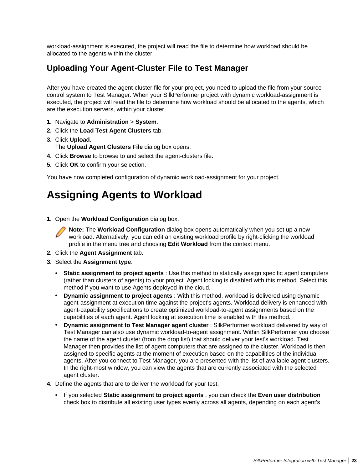<span id="page-22-0"></span>workload-assignment is executed, the project will read the file to determine how workload should be allocated to the agents within the cluster.

### **Uploading Your Agent-Cluster File to Test Manager**

After you have created the agent-cluster file for your project, you need to upload the file from your source control system to Test Manager. When your SilkPerformer project with dynamic workload-assignment is executed, the project will read the file to determine how workload should be allocated to the agents, which are the execution servers, within your cluster.

- **1.** Navigate to **Administration** > **System**.
- **2.** Click the **Load Test Agent Clusters** tab.
- **3.** Click **Upload**. The **Upload Agent Clusters File** dialog box opens.
- **4.** Click **Browse** to browse to and select the agent-clusters file.
- **5.** Click **OK** to confirm your selection.

You have now completed configuration of dynamic workload-assignment for your project.

## **Assigning Agents to Workload**

**1.** Open the **Workload Configuration** dialog box.

**Note:** The **Workload Configuration** dialog box opens automatically when you set up a new workload. Alternatively, you can edit an existing workload profile by right-clicking the workload profile in the menu tree and choosing **Edit Workload** from the context menu.

- **2.** Click the **Agent Assignment** tab.
- **3.** Select the **Assignment type**:
	- **Static assignment to project agents** : Use this method to statically assign specific agent computers (rather than clusters of agents) to your project. Agent locking is disabled with this method. Select this method if you want to use Agents deployed in the cloud.
	- **Dynamic assignment to project agents** : With this method, workload is delivered using dynamic agent-assignment at execution time against the project's agents. Workload delivery is enhanced with agent-capability specifications to create optimized workload-to-agent assignments based on the capabilities of each agent. Agent locking at execution time is enabled with this method.
	- **Dynamic assignment to Test Manager agent cluster** : SilkPerformer workload delivered by way of Test Manager can also use dynamic workload-to-agent assignment. Within SilkPerformer you choose the name of the agent cluster (from the drop list) that should deliver your test's workload. Test Manager then provides the list of agent computers that are assigned to the cluster. Workload is then assigned to specific agents at the moment of execution based on the capabilities of the individual agents. After you connect to Test Manager, you are presented with the list of available agent clusters. In the right-most window, you can view the agents that are currently associated with the selected agent cluster.
- **4.** Define the agents that are to deliver the workload for your test.
	- If you selected **Static assignment to project agents** , you can check the **Even user distribution** check box to distribute all existing user types evenly across all agents, depending on each agent's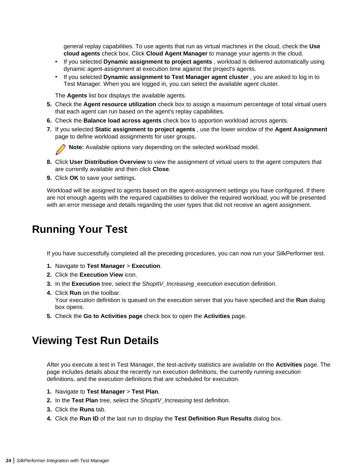<span id="page-23-0"></span>general replay capabilities. To use agents that run as virtual machines in the cloud, check the **Use cloud agents** check box. Click **Cloud Agent Manager** to manage your agents in the cloud.

- If you selected **Dynamic assignment to project agents** , workload is delivered automatically using dynamic agent-assignment at execution time against the project's agents.
- If you selected **Dynamic assignment to Test Manager agent cluster** , you are asked to log in to Test Manager. When you are logged in, you can select the available agent cluster.

The **Agents** list box displays the available agents.

- **5.** Check the **Agent resource utilization** check box to assign a maximum percentage of total virtual users that each agent can run based on the agent's replay capabilities.
- **6.** Check the **Balance load across agents** check box to apportion workload across agents.
- **7.** If you selected **Static assignment to project agents** , use the lower window of the **Agent Assignment** page to define workload assignments for user groups.



**Note:** Available options vary depending on the selected workload model.

- **8.** Click **User Distribution Overview** to view the assignment of virtual users to the agent computers that are currently available and then click **Close**.
- **9.** Click **OK** to save your settings.

Workload will be assigned to agents based on the agent-assignment settings you have configured. If there are not enough agents with the required capabilities to deliver the required workload, you will be presented with an error message and details regarding the user types that did not receive an agent assignment.

### **Running Your Test**

If you have successfully completed all the preceding procedures, you can now run your SilkPerformer test.

- **1.** Navigate to **Test Manager** > **Execution**.
- **2.** Click the **Execution View** icon.
- **3.** In the **Execution** tree, select the ShopItV\_Increasing\_execution execution definition.
- **4.** Click **Run** on the toolbar. Your execution definition is queued on the execution server that you have specified and the **Run** dialog box opens.
- **5.** Check the **Go to Activities page** check box to open the **Activities** page.

### **Viewing Test Run Details**

After you execute a test in Test Manager, the test-activity statistics are available on the **Activities** page. The page includes details about the recently run execution definitions, the currently running execution definitions, and the execution definitions that are scheduled for execution.

- **1.** Navigate to **Test Manager** > **Test Plan**.
- **2.** In the **Test Plan** tree, select the ShopItV\_Increasing test definition.
- **3.** Click the **Runs** tab.
- **4.** Click the **Run ID** of the last run to display the **Test Definition Run Results** dialog box.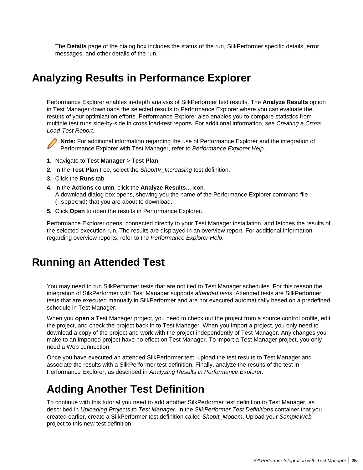<span id="page-24-0"></span>The **Details** page of the dialog box includes the status of the run, SilkPerformer specific details, error messages, and other details of the run.

### **Analyzing Results in Performance Explorer**

Performance Explorer enables in-depth analysis of SilkPerformer test results. The **Analyze Results** option in Test Manager downloads the selected results to Performance Explorer where you can evaluate the results of your optimization efforts. Performance Explorer also enables you to compare statistics from multiple test runs side-by-side in cross load-test reports. For additional information, see Creating a Cross Load-Test Report.



**Note:** For additional information regarding the use of Performance Explorer and the integration of Performance Explorer with Test Manager, refer to Performance Explorer Help.

- **1.** Navigate to **Test Manager** > **Test Plan**.
- **2.** In the **Test Plan** tree, select the ShopItV\_Increasing test definition.
- **3.** Click the **Runs** tab.
- **4.** In the **Actions** column, click the **Analyze Results...** icon. A download dialog box opens, showing you the name of the Performance Explorer command file (.sppecmd) that you are about to download.
- **5.** Click **Open** to open the results in Performance Explorer.

Performance Explorer opens, connected directly to your Test Manager installation, and fetches the results of the selected execution run. The results are displayed in an overview report. For additional information regarding overview reports, refer to the Performance Explorer Help.

### **Running an Attended Test**

You may need to run SilkPerformer tests that are not tied to Test Manager schedules. For this reason the integration of SilkPerformer with Test Manager supports attended tests. Attended tests are SilkPerformer tests that are executed manually in SilkPerformer and are not executed automatically based on a predefined schedule in Test Manager.

When you **open** a Test Manager project, you need to check out the project from a source control profile, edit the project, and check the project back in to Test Manager. When you import a project, you only need to download a copy of the project and work with the project independently of Test Manager. Any changes you make to an imported project have no effect on Test Manager. To import a Test Manager project, you only need a Web connection.

Once you have executed an attended SilkPerformer test, upload the test results to Test Manager and associate the results with a SilkPerformer test definition. Finally, analyze the results of the test in Performance Explorer, as described in Analyzing Results in Performance Explorer.

## **Adding Another Test Definition**

To continue with this tutorial you need to add another SilkPerformer test definition to Test Manager, as described in Uploading Projects to Test Manager. In the SilkPerformer Test Definitions container that you created earlier, create a SilkPerformer test definition called ShopIt\_Modem. Upload your SampleWeb project to this new test definition.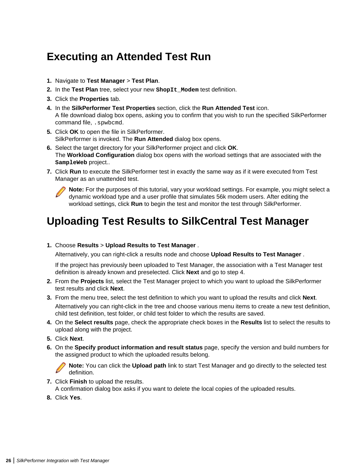## <span id="page-25-0"></span>**Executing an Attended Test Run**

- **1.** Navigate to **Test Manager** > **Test Plan**.
- **2.** In the **Test Plan** tree, select your new **ShopIt\_Modem** test definition.
- **3.** Click the **Properties** tab.
- **4.** In the **SilkPerformer Test Properties** section, click the **Run Attended Test** icon. A file download dialog box opens, asking you to confirm that you wish to run the specified SilkPerformer command file, .spwbcmd.
- **5.** Click **OK** to open the file in SilkPerformer. SilkPerformer is invoked. The **Run Attended** dialog box opens.
- **6.** Select the target directory for your SilkPerformer project and click **OK**. The **Workload Configuration** dialog box opens with the worload settings that are associated with the **SampleWeb** project..
- **7.** Click **Run** to execute the SilkPerformer test in exactly the same way as if it were executed from Test Manager as an unattended test.



**Note:** For the purposes of this tutorial, vary your workload settings. For example, you might select a dynamic workload type and a user profile that simulates 56k modem users. After editing the workload settings, click **Run** to begin the test and monitor the test through SilkPerformer.

## **Uploading Test Results to SilkCentral Test Manager**

**1.** Choose **Results** > **Upload Results to Test Manager** .

Alternatively, you can right-click a results node and choose **Upload Results to Test Manager** .

If the project has previously been uploaded to Test Manager, the association with a Test Manager test definition is already known and preselected. Click **Next** and go to step 4.

- **2.** From the **Projects** list, select the Test Manager project to which you want to upload the SilkPerformer test results and click **Next**.
- **3.** From the menu tree, select the test definition to which you want to upload the results and click **Next**. Alternatively you can right-click in the tree and choose various menu items to create a new test definition, child test definition, test folder, or child test folder to which the results are saved.
- **4.** On the **Select results** page, check the appropriate check boxes in the **Results** list to select the results to upload along with the project.
- **5.** Click **Next**.
- **6.** On the **Specify product information and result status** page, specify the version and build numbers for the assigned product to which the uploaded results belong.

**Note:** You can click the **Upload path** link to start Test Manager and go directly to the selected test definition.

**7.** Click **Finish** to upload the results.

A confirmation dialog box asks if you want to delete the local copies of the uploaded results.

**8.** Click **Yes**.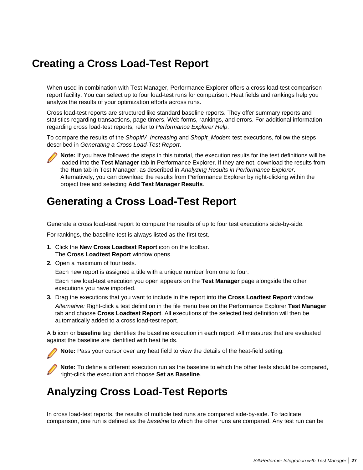### <span id="page-26-0"></span>**Creating a Cross Load-Test Report**

When used in combination with Test Manager, Performance Explorer offers a cross load-test comparison report facility. You can select up to four load-test runs for comparison. Heat fields and rankings help you analyze the results of your optimization efforts across runs.

Cross load-test reports are structured like standard baseline reports. They offer summary reports and statistics regarding transactions, page timers, Web forms, rankings, and errors. For additional information regarding cross load-test reports, refer to Performance Explorer Help.

To compare the results of the ShopItV Increasing and ShopIt Modem test executions, follow the steps described in Generating a Cross Load-Test Report.



**Note:** If you have followed the steps in this tutorial, the execution results for the test definitions will be loaded into the **Test Manager** tab in Performance Explorer. If they are not, download the results from the **Run** tab in Test Manager, as described in Analyzing Results in Performance Explorer. Alternatively, you can download the results from Performance Explorer by right-clicking within the project tree and selecting **Add Test Manager Results**.

### **Generating a Cross Load-Test Report**

Generate a cross load-test report to compare the results of up to four test executions side-by-side.

For rankings, the baseline test is always listed as the first test.

- **1.** Click the **New Cross Loadtest Report** icon on the toolbar. The **Cross Loadtest Report** window opens.
- **2.** Open a maximum of four tests.

Each new report is assigned a title with a unique number from one to four.

Each new load-test execution you open appears on the **Test Manager** page alongside the other executions you have imported.

**3.** Drag the executions that you want to include in the report into the **Cross Loadtest Report** window.

Alternative: Right-click a test definition in the file menu tree on the Performance Explorer **Test Manager** tab and choose **Cross Loadtest Report**. All executions of the selected test definition will then be automatically added to a cross load-test report.

A **b** icon or **baseline** tag identifies the baseline execution in each report. All measures that are evaluated against the baseline are identified with heat fields.

**Note:** Pass your cursor over any heat field to view the details of the heat-field setting.

**Note:** To define a different execution run as the baseline to which the other tests should be compared, right-click the execution and choose **Set as Baseline**.

### **Analyzing Cross Load-Test Reports**

In cross load-test reports, the results of multiple test runs are compared side-by-side. To facilitate comparison, one run is defined as the baseline to which the other runs are compared. Any test run can be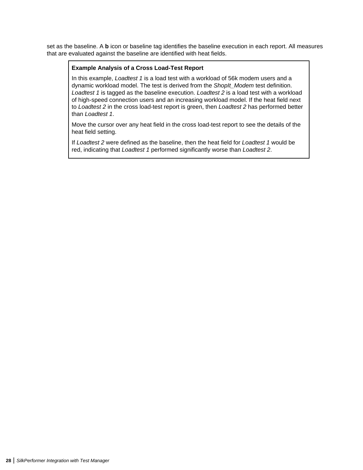set as the baseline. A **b** icon or baseline tag identifies the baseline execution in each report. All measures that are evaluated against the baseline are identified with heat fields.

#### **Example Analysis of a Cross Load-Test Report**

In this example, Loadtest 1 is a load test with a workload of 56k modem users and a dynamic workload model. The test is derived from the ShopIt Modem test definition. Loadtest 1 is tagged as the baseline execution. Loadtest 2 is a load test with a workload of high-speed connection users and an increasing workload model. If the heat field next to Loadtest 2 in the cross load-test report is green, then Loadtest 2 has performed better than Loadtest 1.

Move the cursor over any heat field in the cross load-test report to see the details of the heat field setting.

If Loadtest 2 were defined as the baseline, then the heat field for Loadtest 1 would be red, indicating that Loadtest 1 performed significantly worse than Loadtest 2.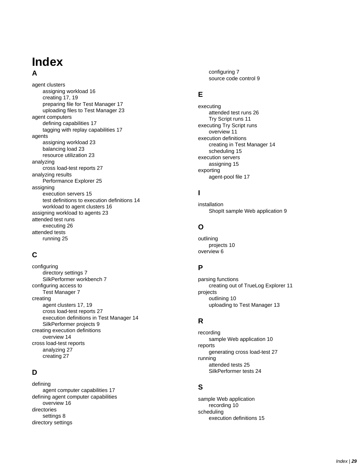### **Index A**

#### agent clusters assigning workload [16](#page-15-0) creating [17,](#page-16-0) [19](#page-18-0) preparing file for Test Manager [17](#page-16-0) uploading files to Test Manager [23](#page-22-0) agent computers defining capabilities [17](#page-16-0) tagging with replay capabilities [17](#page-16-0) agents assigning workload [23](#page-22-0) balancing load [23](#page-22-0) resource utilization [23](#page-22-0) analyzing cross load-test reports [27](#page-26-0) analyzing results Performance Explorer [25](#page-24-0) assigning execution servers [15](#page-14-0) test definitions to execution definitions [14](#page-13-0) workload to agent clusters [16](#page-15-0) assigning workload to agents [23](#page-22-0) attended test runs executing [26](#page-25-0) attended tests running [25](#page-24-0)

### **C**

configuring directory settings [7](#page-6-0) SilkPerformer workbench [7](#page-6-0) configuring access to Test Manager [7](#page-6-0) creating agent clusters [17,](#page-16-0) [19](#page-18-0) cross load-test reports [27](#page-26-0) execution definitions in Test Manager [14](#page-13-0) SilkPerformer projects [9](#page-8-0) creating execution definitions overview [14](#page-13-0) cross load-test reports analyzing [27](#page-26-0) creating [27](#page-26-0)

### **D**

defining agent computer capabilities [17](#page-16-0) defining agent computer capabilities overview [16](#page-15-0) directories settings [8](#page-7-0) directory settings

configuring [7](#page-6-0) source code control [9](#page-8-0)

#### **E**

executing attended test runs [26](#page-25-0) Try Script runs [11](#page-10-0) executing Try Script runs overview [11](#page-10-0) execution definitions creating in Test Manager [14](#page-13-0) scheduling [15](#page-14-0) execution servers assigning [15](#page-14-0) exporting agent-pool file [17](#page-16-0)

### **I**

installation ShopIt sample Web application [9](#page-8-0)

### **O**

outlining projects [10](#page-9-0) overview [6](#page-5-0)

### **P**

parsing functions creating out of TrueLog Explorer [11](#page-10-0) projects outlining [10](#page-9-0) uploading to Test Manager [13](#page-12-0)

### **R**

recording sample Web application [10](#page-9-0) reports generating cross load-test [27](#page-26-0) running attended tests [25](#page-24-0) SilkPerformer tests [24](#page-23-0)

### **S**

sample Web application recording [10](#page-9-0) scheduling execution definitions [15](#page-14-0)